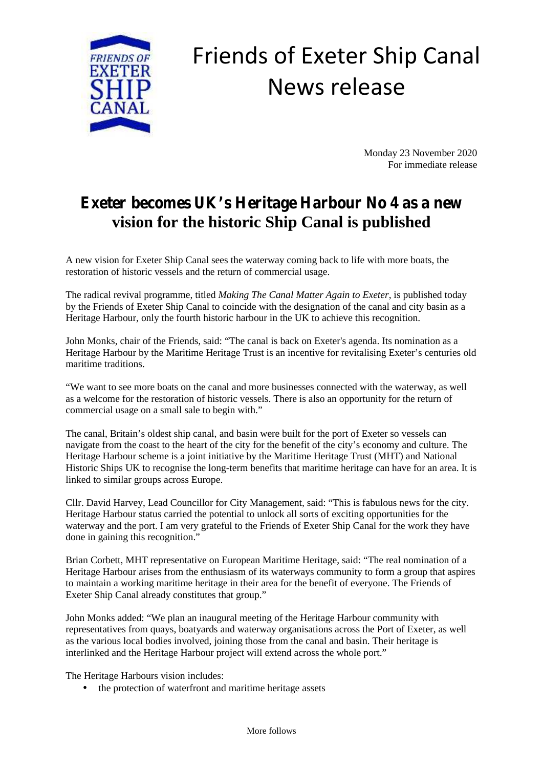

## Friends of Exeter Ship Canal News release

Monday 23 November 2020 For immediate release

## **Exeter becomes UK's Heritage Harbour No 4 as a new vision for the historic Ship Canal is published**

A new vision for Exeter Ship Canal sees the waterway coming back to life with more boats, the restoration of historic vessels and the return of commercial usage.

The radical revival programme, titled *Making The Canal Matter Again to Exeter*, is published today by the Friends of Exeter Ship Canal to coincide with the designation of the canal and city basin as a Heritage Harbour, only the fourth historic harbour in the UK to achieve this recognition.

John Monks, chair of the Friends, said: "The canal is back on Exeter's agenda. Its nomination as a Heritage Harbour by the Maritime Heritage Trust is an incentive for revitalising Exeter's centuries old maritime traditions.

"We want to see more boats on the canal and more businesses connected with the waterway, as well as a welcome for the restoration of historic vessels. There is also an opportunity for the return of commercial usage on a small sale to begin with."

The canal, Britain's oldest ship canal, and basin were built for the port of Exeter so vessels can navigate from the coast to the heart of the city for the benefit of the city's economy and culture. The Heritage Harbour scheme is a joint initiative by the Maritime Heritage Trust (MHT) and National Historic Ships UK to recognise the long-term benefits that maritime heritage can have for an area. It is linked to similar groups across Europe.

Cllr. David Harvey, Lead Councillor for City Management, said: "This is fabulous news for the city. Heritage Harbour status carried the potential to unlock all sorts of exciting opportunities for the waterway and the port. I am very grateful to the Friends of Exeter Ship Canal for the work they have done in gaining this recognition."

Brian Corbett, MHT representative on European Maritime Heritage, said: "The real nomination of a Heritage Harbour arises from the enthusiasm of its waterways community to form a group that aspires to maintain a working maritime heritage in their area for the benefit of everyone. The Friends of Exeter Ship Canal already constitutes that group."

John Monks added: "We plan an inaugural meeting of the Heritage Harbour community with representatives from quays, boatyards and waterway organisations across the Port of Exeter, as well as the various local bodies involved, joining those from the canal and basin. Their heritage is interlinked and the Heritage Harbour project will extend across the whole port."

The Heritage Harbours vision includes:

the protection of waterfront and maritime heritage assets